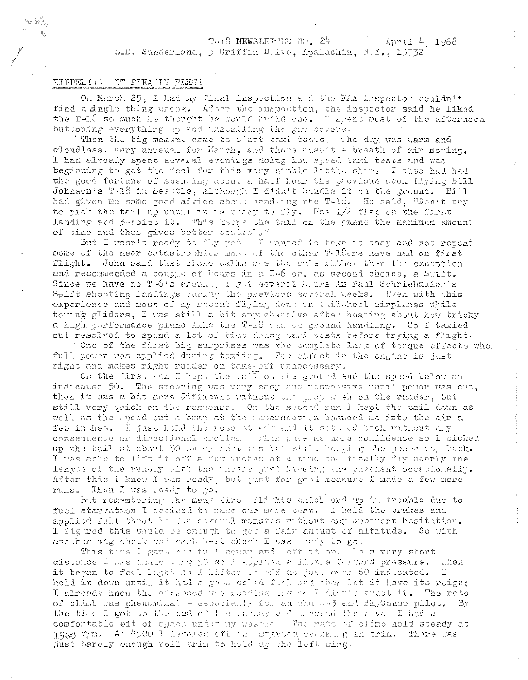#### T-18 NEWSLETTER NO. 24 April 4. 1968 L.D. Sunderland, 5 Griffin Drive, Apalachin, N.Y., 13732

# YIPPEE!!! IT FINALLY FLEW!

On March 25, I had my final inspection and the FAA inspector couldn't find a single thing wreng. After the inspection, the inspector said he liked the T-18 so much he thought he would build one. I spent most of the afternoon buttoning everything up and installing the gap covers.

'Then the big moment came to start taxi tests. The day was warm and cloudless, very unusual for March, and there wasn't a breath of air moving. I had already spent Eeveral evenings doing low speed taxi tests and was beginning to get the feel for this very nimble little ship. I also had had the good fortune of spending about a half hour the previous week flying Bill Johnson's T-18 in Seattle, although I didn't handle it on the ground. Bill had given me some good advice about handling the T-18. He said, "Don't try to pick the tail up until it is ready to fly. Use 1/2 flap on the first landing and 3-point it. This kappe the tail on the grand the manimum amount of time and thus gives better control."

But I wasn't ready to fly yet. I wanted to take it easy and not repeat some of the near catastrophies most of the other T-1.0ers have had on first flight. John said that close calls are the rule rather than the exception and recommended a couple of hours in a T-6 or, as second choice, a Suift. Since we have no T-6's around, I got several hours in Paul Schriebmaier's  $S_{\text{W}}$ ift shooting landings during the previous several weeks. Even with this experience and most of my recent flying deno in thiltheel airplanes while towing gliders, I was still a bit apprehensive after hearing about how tricky a high performance plane like the T-18 was on ground handling. So I taxied out resolved to spend a lot of time doing taki tests before trying a flight.

One of the first big surprises was the complete lack of torque effects when full power was applied during taxiing. The offset in the engine is just right and makes right rudder on take-off unaccessary.

On the first run I kept the tail on the ground and the speed below an indicated 50. The steering was very easy and respeasive until power was out, then it was a bit more difficult without the prop wash on the rudder, but still very quick on the response. On the second run I hept the tail down as well as the speed but a bump at the intersection bounced me into the air a few inches. I just held the nose steady and it sattled back without any consequence or directional problem. This gave as more confidence so I picked up the tail at about 50 on my next run but still keeping the power way back. I was able to lift it off a fow suches at a time and finally fly nearly the length of the runway with the wheels just bussing the pavement occasionally. After this I knew I was ready, but just for good measure I made a few more runs. Then I was ready to go.

But remembering the many first flights which end up in trouble due to fuel starvation I decided to make one more tost. I held the brakes and applied full throttle for several minutes without any apparent hesitation. I figured this would be enough to get a fair amount of altitude. So with another mag check and carb heat check I was ready to go.

This time I gave her full power and left it on. In a very short distance I was indicating 50 so I applied a little forward pressure. Then it began to feel light no I lifted it aff ab just over 60 indicated. I. held it down until it had a good colid for, and then let it have its reign; I already knew the airspeed was reading low and Aidn't trust it. The rate of climb was phenominal - especially for an old  $J-3$  and SkyCoupe pilot. By the time I got to the end of the runnay ond crossed the river I had a comfortable bit of space under my wheres. The rate of climb hold steady at hagg fpm. At 4500. I leveled off and started cranking in trim. There was just barely enough roll trim to hold up the left wing,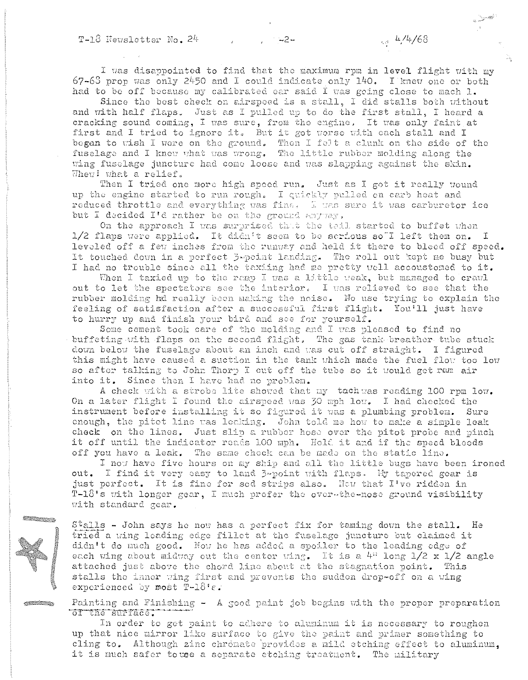I was disappointed to find that the maximum rpm in level flight with my  $67-63$  prop was only 2450 and I could indicate only 140. I knew one or both had to be off because my calibrated ear said I was going close to mach 1.

Since the best check on airspeed is a stall, I did stalls both without and with half flaps. Just as I pulled up to do the first stall. I heard a cracking sound coming, I was sure, from the engine. It was only faint at first and I tried to ignore it. But it got worse with each stall and I began to wish I were on the ground. Then I felt a clunk on the side of the fuselage and I knew what was wrong. The little rubber molding along the wing fuselage juncture had come loose and was slapping against the skin. Whew! what a relief.

Then I tried one more high speed run. Just as I got it really wound up the engine started to run rough. I quickly pulled on carb heat and reduced throttle and everything was fine. I was sure it was carburetor ice but I decided I'd rather be on the ground any way,

On the approach I was surprised that the tail started to buffet when 1/2 flaps were applied. It didn't seem to be serious soll left them on. I leveled off a few inches from the runway and held it there to bleed off speed. It touched down in a perfect 3-point landing. The roll out kept me busy but I had no trouble since all the taxiing had me pretty well accoustomed to it.

When I taxied up to the ramp I was a little weak, but managed to crawl out to let the spectators see the interior. I was relieved to see that the rubber molding hd really been making the noise. No use trying to explain the feeling of satisfaction after a successful first flight. You'll just have to hurry up and finish your bird and see for yourself.

Some cement took care of the molding and I was pleased to find no buffeting with flaps on the second flight. The gas tank breather tube stuck down below the fuselage about an inch and was cut off straight. I figured this might have caused a suction in the tank which made the fuel flow too low so after talking to John Thorp I cut off the tube so it would get run air into it. Since then I have had no problem.

A check with a strobe lite showed that my tachwas reading 100 rpm low. On a later flight I found the airspeed was 30 mph low. I had checked the instrument before installing it so figured it was a plumbing problem. Sure enough, the pitot line was leaking. John told me how to make a simple leak check on the lines. Just slip a rubber hose over the pitot probe and pinch it off until the indicator reads 100 mph. Hold it and if the speed bleeds off you have a leak. The same check can be made on the static line.

I now have five hours on my ship and all the little bugs have been ironed out. I find it very easy to land 3-point with flaps. My tapered gear is just perfect. It is fine for sod strips also. How that I've ridden in  $T-18$ 's with longer gear, I much profer the over-the-nose ground visibility with standard gear.

Stalls - John says he now has a perfect fix for taming down the stall. He tried a wing leading edge fillet at the fuselage juncture but claimed it didn't do much good. Now he has added a spoiler to the leading edge of each wing about midway out the center wing. It is a 4" long  $1/2 \times 1/2$  angle attached just above the chord line about at the stagnation point. This stalls the inner wing first and prevents the sudden drop-off on a wing experienced by most  $T-18$ 'e.

Painting and Finishing - A good paint job begins with the proper preparation of the surface.

In order to get paint to adhere to aluminum it is necessary to roughen up that nice mirror like surface to give the paint and primer something to cling to. Although zinc chromate provides a mild etching effect to aluminum, it is much safer to use a separate etching treatment. The military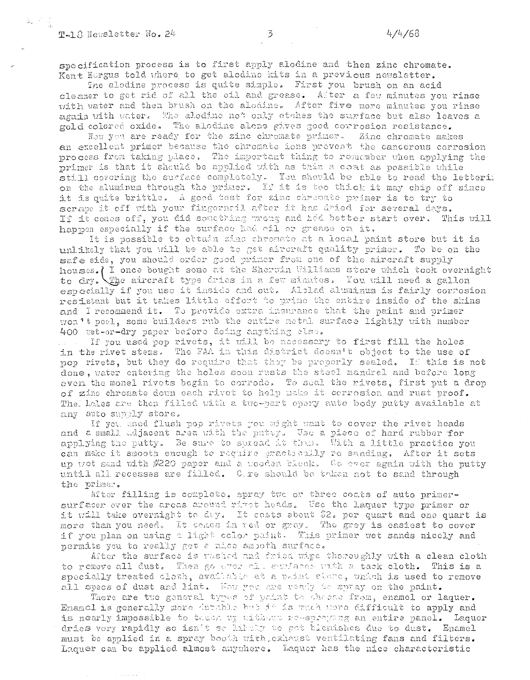specification process is to first apply alodine and then zinc chromate. Kent Hergus told where to get alodine kits in a previous newsletter.

The alodine process is quite simple. First you brush on an acid cleaner to get rid of all the oil and grease. After a few minutes you rinse with water and then brush on the alodine. After five more minutes you rinse again with water. The alodine not only etches the surface but also leaves a gold colored oxide. The alodine alone gives good corrosion resistance.

Now you are ready for the zinc chromate primer. Zinc chromate makes an excellent primer because the chromate ions prevent the cancerous corrosion process from taking place. The important thing to remember when applying the primer is that it should be applied with as thin a coat as possible while still covering the surface completely. You should be able to read the letteri: on the aluminum through the primer. If it is too thick it may chip off since it is quite brittle. A good test for zinc chromate primer is to try to scrape it off with your fingernall after it has dried for several days. If it comes off, you did something wrong and had better start over. This will happen especially if the surface had oil or grease on it.

It is possible to obtain zinc chromate at a local paint store but it is unlikely that you will be able to get aircraft quality primer. To be on the safe side, you should order good primer from one of the aircraft supply houses. I once bought some at the Sherwin Williams store which took overnight to dry. The aircraft type dries in a few minutes. You will need a gallon especially if you use it inside and out. Altlad aluminum is fairly corresion resistent but it takes little effort to prime the entire inside of the skins and I recommend it. To provide extra insurance that the paint and primer won't peel, some builders rub the entire notal surface lightly with number 400 wet-or-dry paper before doing anything else.

If you used pop rivets, it will be necessary to first fill the holes in the rivet stems. The FAA in this district doesn't object to the use of pop rivets, but they do require that they be proporly sealed. If this is not done, water entering the holes soon rusts the steel mandrel and before long even the monel rivets begin to corrode. To seal the rivets, first put a drop of zinc chromate down each rivet to help make it corrosion and rust proof. The holes are then filled with a two-part epery auto body putty available at any auto supply store.

If you used flush pop rivets you might want to cover the rivet heads and a small adjacent area with the putty. Use a piece of hard rubber for applying the putty. Be sure to spread it thus. With a little practice you can make it smooth enough to require practicully ro sanding. After it sets up wot sand with #220 paper and a wooden block. Co ever again with the putty until all recesses are filled. Cire should be taken not to sand through the primer.

After filling is complete, spray two or three coats of auto primersurfacer over the areas around rivet heads. Use the laquer type primer or it will take overnight to day. It costs about \$2. per quart and one quart is more than you need. It comes in red or grey. The grey is casiest to cover if you plan on using a light color paint. This primer wet sands nicely and permits you to really get a nice smooth surface.

After the surface is vashed and dried wipe thoroughly with a clean cloth to remove all dust. Then go over all eurfases with a tack cloth. This is a specially treated cloth, available at a paint stere, thich is used to remove all specs of dust and lint. Now you are ready to spray on the paint.

There are two general types of waint to chose from, enamel or laquer. Enamel is generally more durable but it is much more difficult to apply and is nearly impossible to taken up uithers re-spraying an entire panel. Laquer dries very rapidly so isn't se likely to get blenishes due to dust. Enamel must be applied in a spray booth with, exhaust ventilating fans and filters. Laquer can be applied almost anywhere. Laquer has the nice characteristic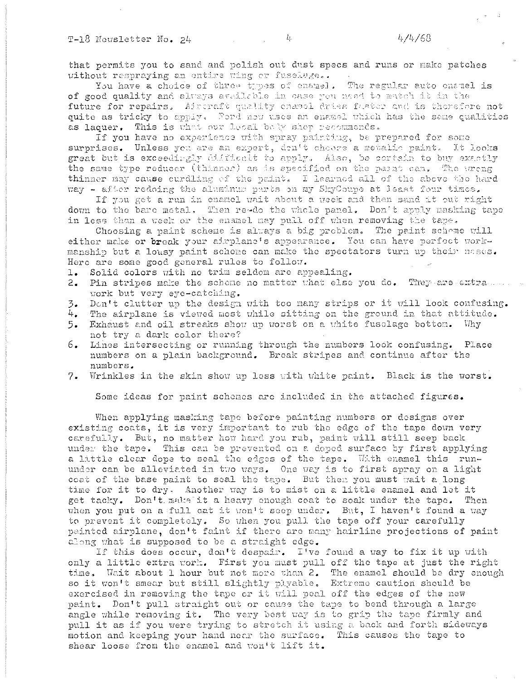### T-18 Newsletter No. 24

that permits you to sand and polish out dust specs and runs or make patches without respraying an entire wing or fuselage..

You have a choice of three types of enamel. The regular auto enamel is of good quality and always available in case you need to match it in the future for repairs. Admoratt quality chancl dries fustor and is therefore not quite as tricky to apply. Ford now uses an enamel which has the same qualities as laquer. This is what our local bely shop recommends.

If you have no experience with spray pairting, be prepared for some surprises. Unless you are an expert, den't choose a metalic paint. It looks great but is exceedingly difficult to apply. Also, be cortain to buy exactly the same type reducer (thinner) as is specified on the parat can. The wreng thinner may cause curdling of the paint. I learned all of the above the hard way - after redoing the aluminus parts on my SkyCoupe at least four times.

If you get a run in enamel wait about a week and then sand it out right down to the bare metal. Then reado the whole panel. Don't apply masking tape in less than a week or the enamel may pull off when removing the tape.

Choosing a paint scheme is always a big problem. The paint scheme will either make or break your airplane's appearance. You can have perfect workmanship but a lousy paint schome can make the spectators turn up their neses. Here are some good general rules to follow.

1. Solid colors with no trim seldom are appealing.

- 2. Pin stripes make the scheme no matter what else you do. They are extra work but very eye-catching.
- Don't clutter up the design with too many strips or it will look confusing.  $\overline{3}$ .
- $l_{\pm}$ The airplane is viewed most while sitting on the ground in that attitude.
- Exhaust and oil streaks show up worst on a white fusclage bottom. Why 5. not try a dark color there?
- $6.$ Lines intersecting or running through the numbers look confusing. Place numbers on a plain background. Break stripes and continue after the numbers.
- 7. Wrinkles in the skin show up less with white paint. Black is the worst.

Some ideas for paint schemes are included in the attached figures.

When applying masking tape before painting numbers or designs over existing coats, it is very important to rub the edge of the tape down very carefully. But, no matter how hard you rub, paint will still seep back under the tape. This can be prevented on a deped surface by first applying a little clear dope to seal the edges of the tape. With enamel this rununder can be alleviated in two ways. One way is to first spray on a light ceat of the base paint to seal the tape. But then you must wait a long time for it to dry. Another way is to mist on a little enamel and let it get tacky. Don't make it a heavy enough coat to soak under the tape. Then when you put on a full cat it won't seep under. But, I haven't found a way to prevent it completely. So when you pull the tape off your carefully painted airplane, don't faint if there are many hairline projections of paint along what is supposed to be a straight edge.

If this does occur, don't despair. I've found a way to fix it up with only a little extra work. First you must pull off the tape at just the right time. Wait about 1 hour but not more than 2. The enamel should be dry enough so it won't smear but still slightly plyable. Extreme caution should be exercised in removing the tape or it will peal off the edges of the new paint. Don't pull straight out or cause the tape to bend through a large angle while removing it. The very best way is to grip the tape firmly and pull it as if you were trying to stretch it using a back and forth sideways motion and keeping your hand near the surface. This causes the tape to shear loose from the enamel and won't lift it.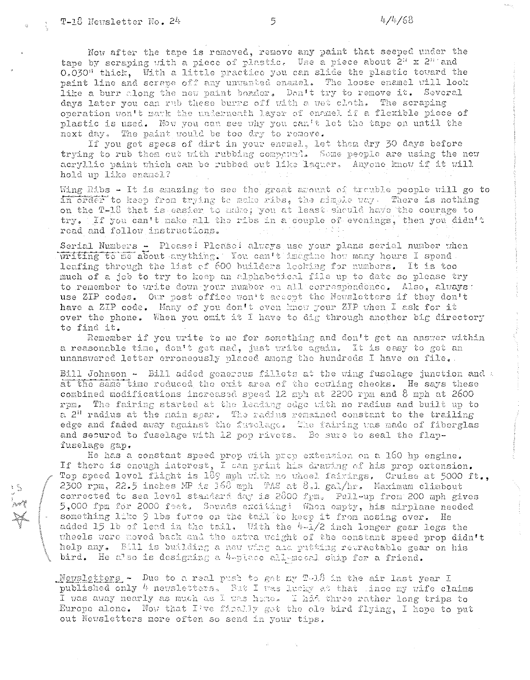Now after the tape is removed, remove any paint that seeped under the tape by scraping with a piece of plastic. Use a piece about 2<sup>1</sup> x 2<sup>11</sup> and 0.030" thick, With a little practice you can slide the plastic toward the paint line and scrape off any unvanted enamel. The loose enamel will look like a burr along the new paint border. Don't try to remove it. Several days later you can rub these burns off with a wet cloth. The scraping operation won't mark the underneath layer of enamel if a flexible piece of plastic is used. Now you can see why you can't let the tape on until the next day. The paint would be too dry to remove.

If you get specs of dirt in your enemel, let them dry 30 days before trying to rub them out with rubbing compound. Some people are using the new acryllic paint which can be rubbed out like laquer. Anyone know if it will hold up like enamel?

Wing Ribs - It is amazing to see the great amount of trouble people will go to in order to keep from trying te make ribs, the simple way. There is nothing on the T-18 that is easier to musc; you at least should have the courage to try. If you can't make all the ribs in a couple of evenings, then you didn't read and follow instructions.

Serial Numbers - Please! Please! always use your plans serial number when writing to me about anything. You can't imagine how many hours I spend. leafing through the list of 600 builders looking for numbers. It is too much of a job to try to keep an alphabetical file up to date so please try to remember to write down your number on all correspondence. Also, always: use ZIP codes. Our post office won't accept the Newsletters if they don't have a ZIP code. Many of you don't even know your ZIP when I ask for it over the phone. When you omit it I have to dig through another big directory to find it.

Remember if you write to me for something and don't get an answer within a reasonable time, don't get mad, just write again. It is easy to get an unanswered letter erroneously placed among the hundreds I have on file.

Bill Johnson - Bill added generous fillets at the wing fuselage junction and a at the same time reduced the exit area of the covling checks. He says these combined modifications increased speed 12 mph at 2200 rpm and 8 mph at 2600 rpm. The fairing started at the leading edge with no radius and built up to a 2" radius at the nain spar. The radius remained constant to the trailing edge and faded away against the fusclage. The fairing was made of fiberglas and secured to fuselage with 12 pop rivets. Be sure to seal the flapfuselage gap.

He has a constant speed prop with prop extension on a 160 hp engine. If there is enough interest, I can print his drawing of his prop extension. Top speed level flight is 189 mph with no wheel fairings, Cruise at 5000 ft., 2300 rpm, 22.5 inches MP is 168 mph TAS at 8.1 gal/hr. Maximum climbout corrected to sea level standard day is 2800 fym. Pull-up from 200 mph gives 5,000 fpm for 2000 feet. Sounds exciting! When empty, his airplane needed something like 9 lbs force on the tail to keep it from nosing over. He added 15 1b of lead in the tail. With the  $4-1/2$  inch longer gear legs the wheels were moved back and the extra weight of the constant speed prop didn't help any. Bill is building a new whing and putting retractable gear on his bird. He also is designing a 4-place all-motal stip for a friend.

Newsletters - Due to a real push to get my T-18 in the air last year I published only 4 newsletters. But I was lucky at that tince my wife claims I was away nearly as much as I was house. I had three rather long trips to Europe alone. Now that I've firally got the ole bird flying, I hope to put out Newsletters more often so send in your tips.

5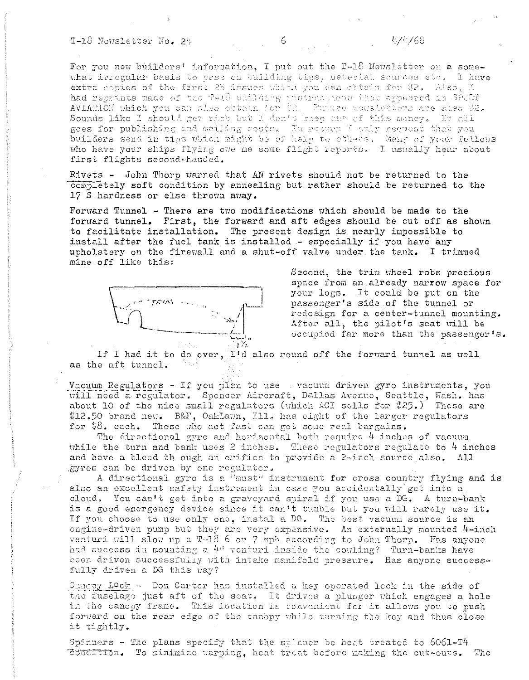## T-18 Novsletter No. 24

For you new builders' information, I put out the T-18 Newslatter on a somewhat irregular basis to ness on building tips, material sources etc. I have extra copies of the first 25 issues which you can obtain for \$2. Also, I had reprints made of the T-18 building instructions that appeared in SPORT AVIATION which you can also obtain for  $2.2$ . Future newsletters are also \$2. Sounds like I should get rich but I don't keep any of this money. It all goes for publishing and mailing costs. In return I caly request that you builders send in tips which might be of help to others, Many of your fellows who have your ships flying ove me some flight reports. I usually hear about first flights second-handed.

Rivets - John Thorp warned that AN rivets should not be returned to the completely soft condition by annealing but rather should be returned to the 17 S hardness or else thrown away.

Forward Tunnel - There are two modifications which should be made to the forward tunnel. First, the forward and aft edges should be cut off as shown to facilitate installation. The present design is nearly impossible to install after the fuel tank is installed - especially if you have any upholstery on the firewall and a shut-off valve under the tank. I trimmed mine off like this:



Second, the trim wheel robs precious space from an already narrow space for your legs. It could be put on the passenger's side of the tunnel or redesign for a center-tunnel mounting. After all, the pilot's seat will be occupied far more than the passenger's.

If I had it to do over, I'd also round off the forward tunnel as well as the aft tunnel.

Vacuum Regulators - If you plan to use wacuum driven gyro instruments, you will need a regulator. Spencer Aircraft, Dallas Avenue, Seattle, Wash. has about 10 of the nice small regulators (which ACI sells for \$25.) These are \$12.50 brand new. B&F, OakLawn, Ill. has eight of the larger regulators for \$8. each. Those who act fast can get some real bargains.

The directional gyro and horizontal both require 4 inches of vacuum while the turn and bank uses 2 inches. These regulators regulate to  $4$  inches and have a bleed th ough an orifice to provide a 2-inch source also. All gyros can be driven by one regulator.

A directional gyro is a "must" instrument for cross country flying and is also an excellent safety instrument in case you accidentally get into a cloud. You can't get into a graveyard spiral if you use a DG. A turn-bank is a good emergency device since it can't tumble but you will rarely use it. If you choose to use only one, instal a DG. The best vacuum source is an engine-driven pump but they are very expensive. An externally mounted 4-inch venturi will slow up a T-18 6 or 7 mph according to John Thorp. Has anyone had success in mounting a 4" venturi inside the couling? Turn-banks have<br>been driven successfully with intake manifold pressure. Has anyone successfully driven a DG this way?

Cancpy Lock - Don Carter has installed a key operated lock in the side of the fuselage just aft of the seat. It drives a plunger which engages a hole in the canopy frame. This location is convenient for it allows you to push forward on the rear edge of the canopy while turning the key and thus close it tightly.

Spinners - The plans specify that the stinner be heat treated to  $6061 - T4$ Condition. To minimize warping, heat treat before making the cut-outs. The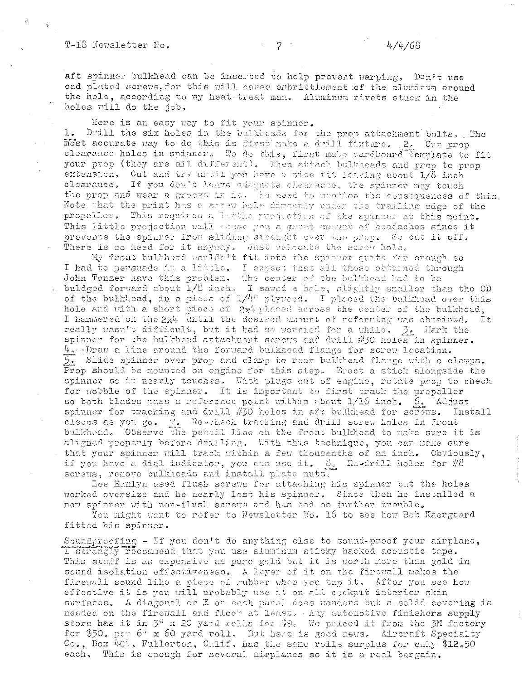### T-18 Newsletter No.

aft spinner bulkhead can be inserted to help prevent warping. Don't use cad plated screws, for this will cause embrittlement of the aluminum around the hole, according to my heat treat man. Aluminum rivets stuck in the holes will do the job,

Here is an easy way to fit your spinner.

1. Drill the six holes in the bulkbeads for the prop attachment bolts. The most accurate way to de this is first make a drill fixture. 2. Cut prop clearance holes in spinner. To do this, first make cardboard template to fit your prop (they are all different). Then attack bulkneads and prop to prop extension. Cut and try until you have a nice fit leaving about 1/8 inch clearance. If you don't leave adaquate clearance, the spinner may touch the prop and wear a groove in it. We need to mention the consequences of this. Note that the print has a serew hole directly under the trailing odge of the propeller. This requires a lattle projection of the spinner at this point. This little projection will cause you a grast amount of headaches since it prevents the spinner from sliding straight over the prop. So out it off. There is no need for it anyway. Just relection the screw hole.

My front bulkhead wouldn't fit into the spinner quite far enough so I had to persuade it a little. I expect that all those obtained through John Tonzer have this problem. The center of the bulkhead had to be buldged forward about  $1/6$  inch. I sawed a hele, slightly smaller than the OD of the bulkhead, in a piece of  $1/4$ <sup>H</sup> plyweed. I placed the bulkhead over this hole and with a short piece of  $2x4$  placed across the center of the bulkhead, I hammered on the 2x4 until the desired amount of reforming was obtained. - It really wasn't difficult, but it had me worried for a while. 3. Hark the spinner for the bulkhead attachment screws and drill #30 holes in spinner. 4. Draw a line around the forward bulkhead flange for screw location. 5. Slide spinner over prop and clamp to rear bulkhead flange with c clamps. Prop should be mounted on engine for this step. Erect a stick alongside the spinner so it nearly touches. With plugs out of engine, rotate prop to check for wobble of the spinner. It is important to first track the propeller so both blades pass a reference point within about  $1/16$  inch.  $6.$  Adjust spinner for tracking and drill #30 holes in aft bulkhead for screws. Install clecos as you go. 7. Re-check tracking and drill screw holes in front bulkhead. Observe the pencil line on the front bulkhead to make sure it is aligned properly before drilling. With this technique, you can make sure that your spinner will track within a few thousanths of an inch. Obviously, if you have a dial indicator, you can use it.  $\delta$ <sub>2</sub> Re-drill holes for #8 screws, renove bulkheeds and install plate nuts.

Lee Hamlyn used flush screws for attaching his spinner but the holes worked oversize and he nearly lost his spinner. Since then he installed a new spinner with non-flush screws and has had no further trouble.

You might want to refer to Newsletter No. 16 to see how Bob Kaergaard fitted his spinner.

Soundprecting  $-$  If you don't do anything else to sound-proof your airplane, I strongly recommend that you use aluminum sticky backed acoustic tape. This stuff is as expensive as pure gold but it is worth more than gold in sound isolation effectiveness. A layer of it on the firewall nakes the firevall sound like a piece of rubber when you tap it. After you see how effective it is you will probably use it on all cockpit interior skin surfaces. A diagonal or X on each panel does wonders but a solid covering is needed on the fireuall and fleer at least. Any automotive finishers supply store has it in  $\mathbb{Z}^n$  x 20 yard rolls for \$9. We priced it from the 3M factory for \$50. per 6<sup>3</sup> x 60 yard roll. But here is good news. Aircraft Specialty  $Co_{2}$ , Box 404, Fullerton, Calif, has the same rolls surplus for only \$12.50 each. This is enough for several airplanes so it is a real bargain.

 $7 -$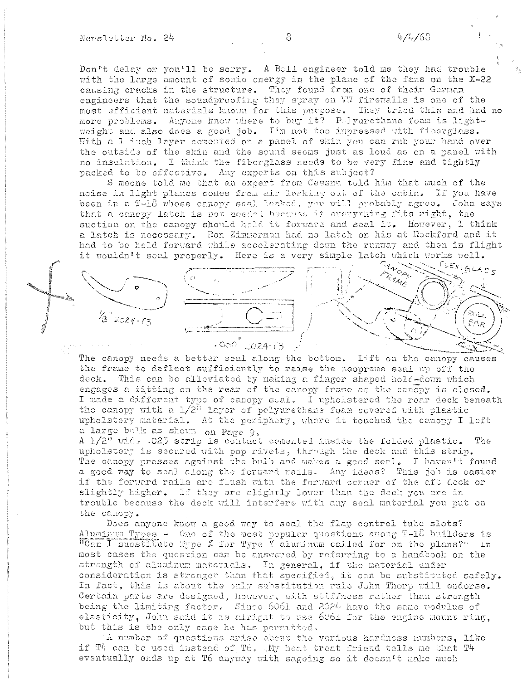Don't delay or you'll be sorry. A Bell engineer told me they had trouble with the large amount of sonic energy in the plane of the fans on the X-22 causing cracks in the structure. They found from one of their German engineers that the soundproofing they spray on WW firewalls is one of the most efficient materials known for this purpose. They tried this and had no more problems. Anyone know where to buy it? Pulyurethane foam is lightweight and also does a good job. I'm not too impressed with fiberglass. With a 1 inch layer comented on a panel of skin you can rub your hand over the outside of the skin and the sound seems just as loud as on a panel with no insulation. I think the fiberglass needs to be very fine and tightly packed to be effective. Any experts on this subject?

S meone told me that an expert from Cessna told him that much of the noise in light planes comes from air leaking out of the cabin. If you have been in a T-18 whose canopy seal leaked. you will probably agree. John says that a canopy latch is not needed because if everything fits right, the suction on the canopy should hold it forward and seal it. However, I think a latch is necessary. Ron Zimmerman had no latch on his at Rockford and it had to be held forward while accelerating down the runway and then in flight it wouldn't seal properly. Here is a very simple latch which works well.



The canopy needs a better seal along the bottom. Lift on the canopy causes the frame to deflect sufficiently to raise the neopreme seal up off the deck. This can be alleviated by making a finger shaped hold-down which engages a fitting on the rear of the canopy frame as the canopy is closed. I made a different type of canopy seal, I upholstered the rear deck beneath the canopy with a  $1/2$ <sup>11</sup> layer of polyurethane foam covered with plastic upholstery material. At the periphery, where it touched the canopy I left a large bulk as shown on Page 9.

A 1/2" wide .025 strip is contact cemented inside the folded plastic. The upholstery is secured with pop rivets, through the deck and this strip. The canopy presses against the bulb and makes a good seal. I haven't found a good way to seal along the forward rails. Any ideas? This job is easier if the forward rails are flush with the forward corner of the aft deck or slightly higher. If they are slightly lower than the deck you are in trouble because the deck will interfere with any seal material you put on the canopy.

Does anyone know a good way to seal the flap control tube slots? Aluminum Types - One of the most popular questions among T-18 builders is "Can I substitute Type X for Type Y aluminum called for on the plans?" In most cases the question can be answered by referring to a handbook on the strength of aluminum materials. In general, if the material under consideration is stronger than that specified, it can be substituted safely. In fact, this is about the only substitution rule John Thorp will endorse. Certain parts are designed, however, with stiffness rather than strength being the limiting factor. Since 6061 and 2024 have the same modulus of elasticity, John said it is alright to use 6061 for the engine mount ring, but this is the only case he has permitted.

A number of questions arise about the various hardness numbers, like if T4 can be used instead of T6. My heat treat friend tells me that T4 eventually ends up at T6 anyway with sageing so it doesn't make much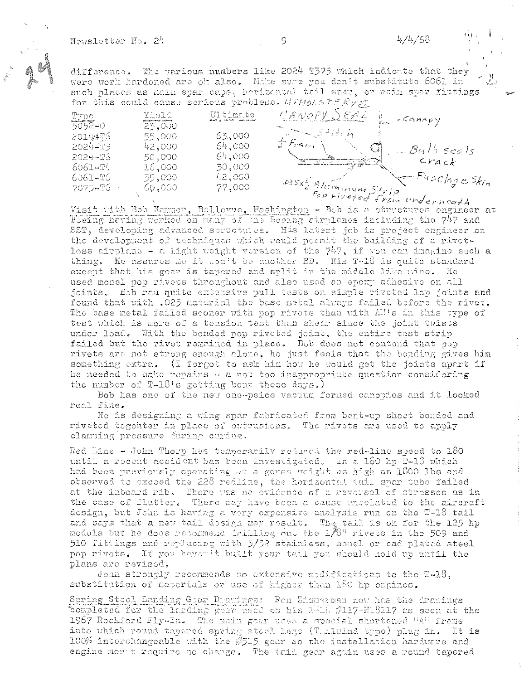difference. The various numbers like 2024 T375 which indicate that they were work kardened are ok also. Make sure you den't substitute 6061 in such places as main spar caps, horizontal tail sper, or main spar fittings for this could cause serious problems. UFHoLSTERVET

| Typ<br>$5052 - Q$ | Yield<br>25,000 | Ultimate<br>Building S.E. M.D. State Collection | $C$ ANOPY $\bigcirc$ EAL<br>-Canopy     |
|-------------------|-----------------|-------------------------------------------------|-----------------------------------------|
| 2014练了5           | 55,000          | 63,000                                          |                                         |
| $2024 - 13$       | 42,000          | 64,000                                          | $r$ dan,<br>والمتكافئيس<br>$B415$ seals |
| $2024 - To$       | 50,000          | 64,000                                          |                                         |
| 6061-24           | 16,000          | 30,000                                          | $c_{r_{A c k}}$                         |
| 6061-T6           | 35,000          | 42,000                                          | $x-Fuse age\,$                          |
| 7075-TS +         | 60,000          | 77,000                                          |                                         |
|                   |                 |                                                 | ossx Alemannum Strip                    |

Visit with Bob Hammer, Bollevue, Washington - Bob is a structures engineer at Beeing having worked on many of the boeing airplancs including the 747 and SST, developing advanced structures. His labest job is project engineer on the development of techniques which vould permit the building of a rivetless airplane - a light weight version of the  $747$ , if you can inagine such a thing. He assures me it won't be another BD. His T-18 is quite standard except that his goar is tapored and split in the middle like nine. He used monel pop rivets throughout and also used an epoxy adhesive on all joints. Bob ran quite extensive pull tests on simple riveted lap joints and found that with .025 material the base netal always failed before the rivet. The base metal failed sooner with pop rivets than with Al's in this type of test which is more of a tension test than shear since the joint twists under load. With the bonded pop riveted joint, the entire test strip failed but the rivet remained in place. Bob does not contend that pop rivets are not strong enough alone, he just feels that the bonding gives him something extra. (I forgot to ask him how he would get the joints apart if he needed to make repairs - a not too inappropriate question considering the number of T-18's getting bent these days.)

Bob has one of the new one-peice vacuum formed canopies and it looked real fine.

He is designing a wing spar fabricated from bent-up sheet bonded and riveted togehter in place of extrusions. The rivets are used to apply clamping pressure during curing.

Red Line - John Thorp has temporarily reduced the red-line speed to 180 until a recent accident has been investigated. In a 180 hp T-16 which had been previously operating at a gorss whight as high as 1800 lbs and observed to exceed the 228 redline, the horizontal tail spar tube failed at the inboard rib. There was no evidence of a reversal of stresses as in the case of flutter. There may have been a cause enrelated to the aircraft design, but John is having a very expensive analysis run on the T-18 tail and says that a new tail design may result. The tail is ok for the 125 hp models but he does recommend drilling out the 1.8" rivets in the 509 and 510 fittings and replacing with 5/32 stainless, monel or cad placed steel pop rivets. If you haven't built your tail you should hold up until the plans are revised.

John strongly recommends no extensive medifications to the T-18, substitution of materials or use of higher than 180 hp engines.

Spring Steel Landing Gear Drawings: Ren Zimmannan now has the drawings Completed for the larding gear used on his That #117-H18117 as seen at the 1967 Rockford Fly-In. The main gear uses a special shortened "A" frame into which round tapered spring steel legs (T. 1701nd type) plug in. It is 100% interchangeable with the #515 gear so the installation hardware and engine mount require no change. The tail gear again uses a round tapered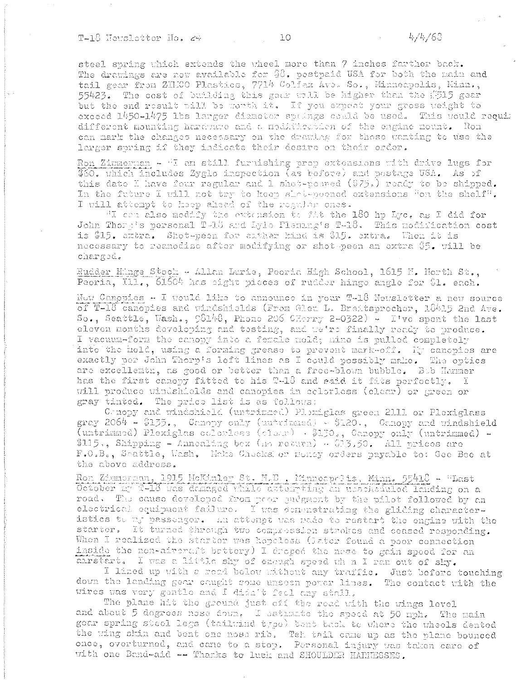T-18 Hewsletter Ho. 24

steel spring which extends the wheel more than 7 inches farther back. The drawings are now available for \$8. pestpaid USA for both the main and tail gear from ZHICO Plastics, 7714 Colfax Ave. So., Minneapolis, Minn., 55423. The cost of building this goar will be higher than the #515 gear but the end result will be worth it. If you expect your gross weight to exceed 1450-1475 lbs larger diameter springs could be used. This would requir different mounting hardware and a modification of the engine nount. Ron can mark the changes necessary on the drawing for those wanting to use the larger spring if they indicate their desire on their order.

Ron Zimmernan - "I am still furnishing prop extensions with drive lugs for \$60. Which includes Zyglo inspection (as before) and postage USA. As of this date I have four regular and I shot-peered (\$75.) ready to be shipped. In the future I will not try to keep shot-peened extensions "on the shelf". I will attempt to keep ahead of the regular ones.

"I can also modify the extension to fit the 180 hp Lyc, as I did for John Thorg's personal T-16 and Lyle Fleming's T-18. This modification cost is \$15. entra. Shot-peen for eather kind is \$15. extra. When it is necessary to reanodize after modifying or shot peen an extra \$5. will be charged.

Rudder Hinge Stock - Allan Lurie, Peeria High School, 1615 F. North St., Peoria, Ill., 61504 has sight pieces of rudder hinge angle for \$1. each.

Now Canopies - I would like to announce in your T-18 Newsletter a new source of T-18 canopies and windshields (From Glen L. Breitsprecher, 18415 2nd Ave. So., Seattle, Wash.,  $58148$ , Phone 206 CHerry 2-0322) - I've spent the last eleven months developing and testing, and we're finally ready to produce. I vacuum-form the canopy into a female nold; mine is pulled completely into the hold, using a forming grease to prevent mark-off. It canopies are exactly per John Thorp's loft lines as I could possibly make. The optics are excellemen, as good or better than a free-blown bubble. Bob Hanmer has the first canopy fitted to his T-18 and said it fits perfectly. I will produce windshields and canopies in celorless (clear) or green or gray tinted. The price list is as follows:

Conopy and windshibld (untrimmed) Plexiglas green 2111 or Plexiglass gray 2064 - \$135., Canopy only (untrimated) - \$120., Canopy and windshield (untrimmed) Plexiglas colorless (clear) - \$130., Canopy only (untrimmed) -\$115., Shipping - Annealing bex (no return)  $\sim$  \$13.50. All prices are F.O.B., Scattle, Uash. Make Checks or money orders payable to: Gee Bee at the above address.

Ron Zimmerman, 1915 HeKinley St. N.D., Minneapolis, Minn. 55418 - "Last October my 1-18 was damaged while astempting an unschainled landing on a road. The cause developed from poor puegment by the pilot followed by an electrical equipment failure. I was demonstrating the gliding characteristics to my passenger. An attempt was pade to restart the engine with the starter. It turned through two compression strokes and ceased responding. When I realized the starter was hopeless (later found a poor connection inside the non-aireraft bettery) I droped the nese to gain speed for an anrstart. I was a little shy of eneugh speed wh n I ran out of sky.

I lined up with a read below without any traffic. Just before touching down the landing gear caught some unseen power lines. The contact with the wires was very gentle and I didn't feel any stall.

The plane hit the ground just off the read with the wings level and about 5 degrees nose down. I estimate the speed at 50 mph. The main gear spring steel legs (tailwind type) bent back to where the wheels dented the wing skin and bent one nose rib. Tel. tail came up as the plane bounced once, overturned, and came to a stop. Personal injury was taken care of with one Band-aid -- Thanks to luck and SHOULDER HARNESSES.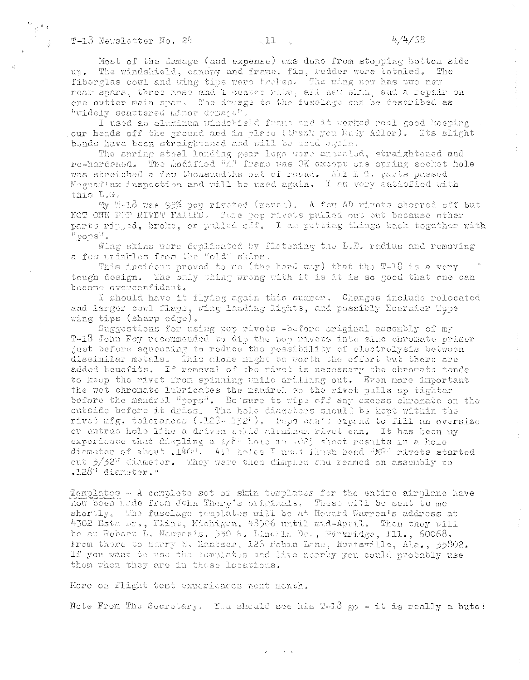Most of the damage (and expense) was done from stopping bottom side up. The windshield, canopy and frame, fin, rudder were totaled. The fiberglas cowl and wing tips were broken. The wing now has two new rear spars, three nose and 1 center rile, all new skin, and a repair on one outter main spar. The duess to the fusclage can be described as "widely scattered minor drage".

I used an aluminum windsbield frame and it worked real good keeping our heads off the ground and in place (thank you Rudy Adler). Its slight bends have been straightened and will be used egoin.

The spring steel landing gear legs were ariealed, straightened and re-hardened. The modified "A" frame was OK except one spring socket hole was stretched a few thousandths out of round. All L.G. parts passed Magnaflux inspection and will be used again. I am very satisfied with this L.G.

My T-18 was 95% pop riveted (monel). A few AD rivets sheared off but NOT ONE POP RIVET FALLED. Some pop rivets pulled out but because other parts ripped, broke, or pulled clf. I am putting things back together with "pops".

Wing skins were duplicated by flatening the L.E. radius and removing a few urinkles from the "old" skins.

This incident proved to me (the hard way) that the T-18 is a very tough design. The only thing wrong with it is it is so good that one can become overconfident.

I should have it flying again this summer. Changes include relocated and larger cowl flaps, wing landing lights, and possibly Hoernier Tupe wing tips (sharp edge).

Suggestions for using pop rivets -before original assembly of my T-18 John Foy recommended to dip the pop rivets into zinc chromate primer just before squeezing to reduce the possibillity of electrolysis between dissimilar metals. This alone might be worth the effort but there are added benefits. If removal of the rivet is necessary the chromate tends to keep the rivet from spinning while drilling out. Even nore important the wet chronate lubricates the mandrel so the rivet pulls up tighter before the mandrel "pops". Be sure to wipe off any excess chromate on the outside before it dries. The hole diameters should be kept within the rivet mfg, tolorances (,128-132'), Pops can't expand to fill an oversize or untrue hole like a driven sphid aluminum rivet can. It has been my experience that displing a 1/8" hole an .025 sheet results in a hole diameter of about .140". All holes I used ilseh head "MR" rivets started out 3/32" diameter. They were then dimpled and reamed on assembly to .128" diameter."

Templates - A complete set of skin templates for the entire airplane have now been lade from John Thorp's originals. These will be sent to me shortly. The fuselage templates will be at Heward Warren's address at 4302 Esta Dr., Flint, Michigan, 48506 until mid-April. Then they will be at Robert L. Nevann's. 530 S. Linchla Dr., Parkridge, Ill., 60068. From these to Harry E. Kantser, 126 Febin Lone, Huntsville, Ala., 35802. If you want to use the templates and live nearby you could probably use them when they are in these locations.

More on flight test experiences next menth,

Note From The Secretary: You should see his  $T-18$  go - it is really a bute!

 $\epsilon$   $\epsilon$